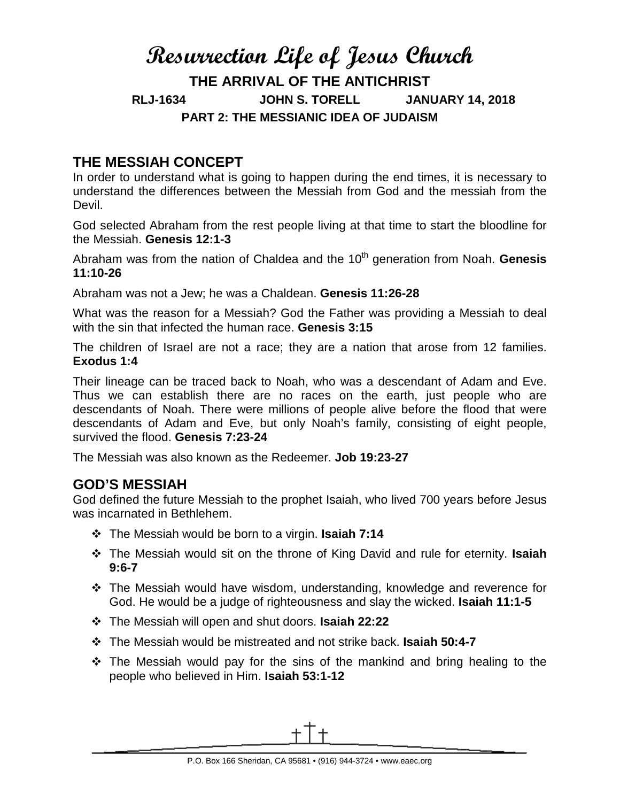# **Resurrection Life of Jesus Church THE ARRIVAL OF THE ANTICHRIST RLJ-1634 JOHN S. TORELL JANUARY 14, 2018 PART 2: THE MESSIANIC IDEA OF JUDAISM**

# **THE MESSIAH CONCEPT**

In order to understand what is going to happen during the end times, it is necessary to understand the differences between the Messiah from God and the messiah from the Devil.

God selected Abraham from the rest people living at that time to start the bloodline for the Messiah. **Genesis 12:1-3**

Abraham was from the nation of Chaldea and the 10<sup>th</sup> generation from Noah. **Genesis 11:10-26**

Abraham was not a Jew; he was a Chaldean. **Genesis 11:26-28**

What was the reason for a Messiah? God the Father was providing a Messiah to deal with the sin that infected the human race. **Genesis 3:15**

The children of Israel are not a race; they are a nation that arose from 12 families. **Exodus 1:4**

Their lineage can be traced back to Noah, who was a descendant of Adam and Eve. Thus we can establish there are no races on the earth, just people who are descendants of Noah. There were millions of people alive before the flood that were descendants of Adam and Eve, but only Noah's family, consisting of eight people, survived the flood. **Genesis 7:23-24**

The Messiah was also known as the Redeemer. **Job 19:23-27**

## **GOD'S MESSIAH**

God defined the future Messiah to the prophet Isaiah, who lived 700 years before Jesus was incarnated in Bethlehem.

- The Messiah would be born to a virgin. **Isaiah 7:14**
- The Messiah would sit on the throne of King David and rule for eternity. **Isaiah 9:6-7**
- The Messiah would have wisdom, understanding, knowledge and reverence for God. He would be a judge of righteousness and slay the wicked. **Isaiah 11:1-5**
- The Messiah will open and shut doors. **Isaiah 22:22**
- The Messiah would be mistreated and not strike back. **Isaiah 50:4-7**
- $\cdot$  The Messiah would pay for the sins of the mankind and bring healing to the people who believed in Him. **Isaiah 53:1-12**

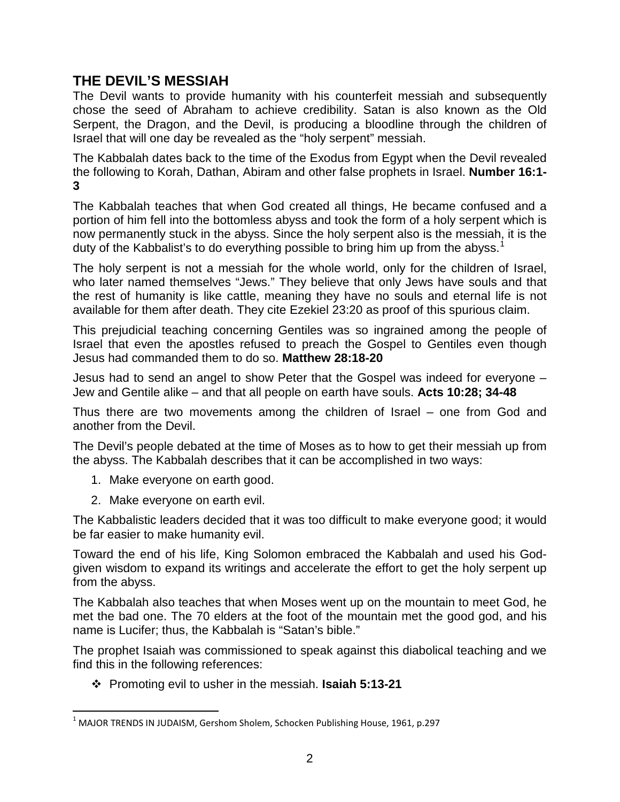## **THE DEVIL'S MESSIAH**

The Devil wants to provide humanity with his counterfeit messiah and subsequently chose the seed of Abraham to achieve credibility. Satan is also known as the Old Serpent, the Dragon, and the Devil, is producing a bloodline through the children of Israel that will one day be revealed as the "holy serpent" messiah.

The Kabbalah dates back to the time of the Exodus from Egypt when the Devil revealed the following to Korah, Dathan, Abiram and other false prophets in Israel. **Number 16:1- 3**

The Kabbalah teaches that when God created all things, He became confused and a portion of him fell into the bottomless abyss and took the form of a holy serpent which is now permanently stuck in the abyss. Since the holy serpent also is the messiah, it is the duty of the Kabbalist's to do everything possible to bring him up from the abyss.<sup>[1](#page-1-0)</sup>

The holy serpent is not a messiah for the whole world, only for the children of Israel, who later named themselves "Jews." They believe that only Jews have souls and that the rest of humanity is like cattle, meaning they have no souls and eternal life is not available for them after death. They cite Ezekiel 23:20 as proof of this spurious claim.

This prejudicial teaching concerning Gentiles was so ingrained among the people of Israel that even the apostles refused to preach the Gospel to Gentiles even though Jesus had commanded them to do so. **Matthew 28:18-20**

Jesus had to send an angel to show Peter that the Gospel was indeed for everyone – Jew and Gentile alike – and that all people on earth have souls. **Acts 10:28; 34-48**

Thus there are two movements among the children of Israel – one from God and another from the Devil.

The Devil's people debated at the time of Moses as to how to get their messiah up from the abyss. The Kabbalah describes that it can be accomplished in two ways:

- 1. Make everyone on earth good.
- 2. Make everyone on earth evil.

The Kabbalistic leaders decided that it was too difficult to make everyone good; it would be far easier to make humanity evil.

Toward the end of his life, King Solomon embraced the Kabbalah and used his Godgiven wisdom to expand its writings and accelerate the effort to get the holy serpent up from the abyss.

The Kabbalah also teaches that when Moses went up on the mountain to meet God, he met the bad one. The 70 elders at the foot of the mountain met the good god, and his name is Lucifer; thus, the Kabbalah is "Satan's bible."

The prophet Isaiah was commissioned to speak against this diabolical teaching and we find this in the following references:

Promoting evil to usher in the messiah. **Isaiah 5:13-21**

<span id="page-1-0"></span> $1$  MAJOR TRENDS IN JUDAISM, Gershom Sholem, Schocken Publishing House, 1961, p.297